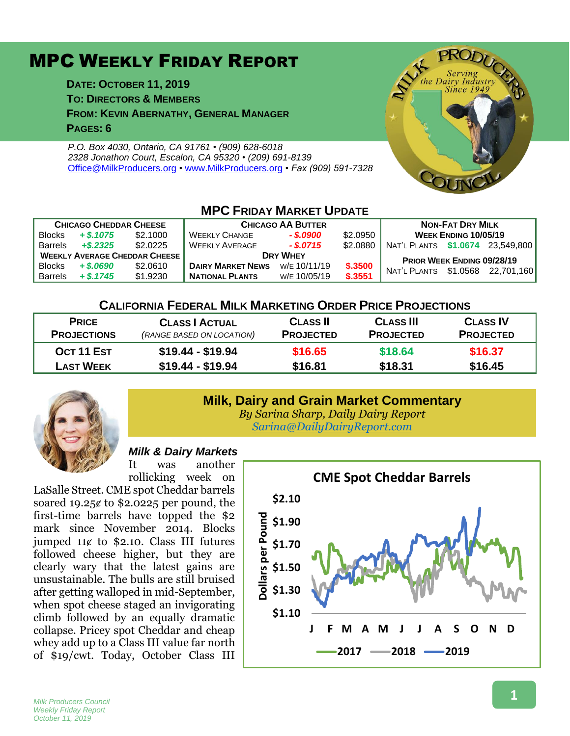# MPC WEEKLY FRIDAY REPORT

**DATE: OCTOBER 11, 2019**

**TO: DIRECTORS & MEMBERS**

**FROM: KEVIN ABERNATHY, GENERAL MANAGER**

**PAGES: 6**

*P.O. Box 4030, Ontario, CA 91761 • (909) 628-6018 2328 Jonathon Court, Escalon, CA 95320 • (209) 691-8139* [Office@MilkProducers.org](mailto:office@milkproducers.org) *•* [www.MilkProducers.org](http://www.milkproducers.org/) *• Fax (909) 591-7328*



#### **MPC FRIDAY MARKET UPDATE CHICAGO CHEDDAR CHEESE CHICAGO AA BUTTER NON-FAT DRY MILK** Blocks *+ \$.1075* \$2.1000 WEEKLY CHANGE *- \$.0900* \$2.0950 **WEEK ENDING 10/05/19** Barrels *+\$.2325* \$2.0225 WEEKLY AVERAGE *- \$.0715* \$2.0880 NAT'L PLANTS **\$1.0674** 23,549,800 **WEEKLY AVERAGE CHEDDAR CHEESE**<br>Blocks + \$.0690 \$2.0610 DAIRY MARKET NEWS WE 10/11/19 \$.3500 NUTL BLUTE 64.0569 09/28/19 BIOCKS + \$.0690 \$2.0610 **DAIRY MARKET NEWS** WE 10/11/19 \$.3500 NAT'L PLANTS \$1.0568 22,701,160 **NATIONAL PLANTS**

#### **CALIFORNIA FEDERAL MILK MARKETING ORDER PRICE PROJECTIONS**

| <b>PRICE</b><br><b>PROJECTIONS</b> | <b>CLASS   ACTUAL</b><br>(RANGE BASED ON LOCATION) | <b>CLASS II</b><br><b>PROJECTED</b> | <b>CLASS III</b><br><b>PROJECTED</b> | <b>CLASS IV</b><br><b>PROJECTED</b> |
|------------------------------------|----------------------------------------------------|-------------------------------------|--------------------------------------|-------------------------------------|
| OCT 11 EST                         | $$19.44 - $19.94$                                  | \$16.65                             | \$18.64                              | \$16.37                             |
| <b>LAST WEEK</b>                   | $$19.44 - $19.94$                                  | \$16.81                             | \$18.31                              | \$16.45                             |



#### **Milk, Dairy and Grain Market Commentary** *By Sarina Sharp, Daily Dairy Report*

*[Sarina@DailyDairyReport.com](mailto:Sarina@DailyDairyReport.com)*

### *Milk & Dairy Markets*

It was another rollicking week on

LaSalle Street. CME spot Cheddar barrels soared 19.25 $\epsilon$  to \$2.0225 per pound, the first-time barrels have topped the \$2 mark since November 2014. Blocks jumped  $11¢$  to \$2.10. Class III futures followed cheese higher, but they are clearly wary that the latest gains are unsustainable. The bulls are still bruised after getting walloped in mid-September, when spot cheese staged an invigorating climb followed by an equally dramatic collapse. Pricey spot Cheddar and cheap whey add up to a Class III value far north of \$19/cwt. Today, October Class III

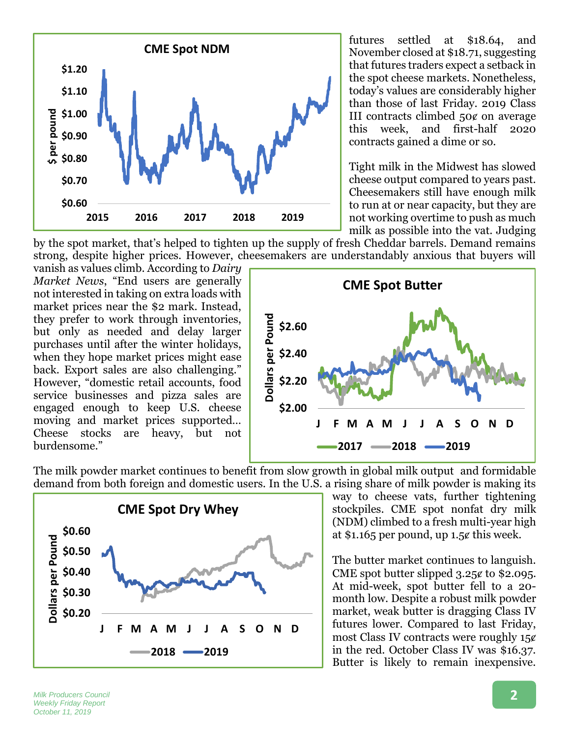

futures settled at \$18.64, and November closed at \$18.71, suggesting that futures traders expect a setback in the spot cheese markets. Nonetheless, today's values are considerably higher than those of last Friday. 2019 Class III contracts climbed 50ȼ on average this week, and first-half 2020 contracts gained a dime or so.

Tight milk in the Midwest has slowed cheese output compared to years past. Cheesemakers still have enough milk to run at or near capacity, but they are not working overtime to push as much milk as possible into the vat. Judging

by the spot market, that's helped to tighten up the supply of fresh Cheddar barrels. Demand remains strong, despite higher prices. However, cheesemakers are understandably anxious that buyers will

vanish as values climb. According to *Dairy Market News*, "End users are generally not interested in taking on extra loads with market prices near the \$2 mark. Instead, they prefer to work through inventories, but only as needed and delay larger purchases until after the winter holidays, when they hope market prices might ease back. Export sales are also challenging." However, "domestic retail accounts, food service businesses and pizza sales are engaged enough to keep U.S. cheese moving and market prices supported… Cheese stocks are heavy, but not burdensome."



The milk powder market continues to benefit from slow growth in global milk output and formidable demand from both foreign and domestic users. In the U.S. a rising share of milk powder is making its



way to cheese vats, further tightening stockpiles. CME spot nonfat dry milk (NDM) climbed to a fresh multi-year high at \$1.165 per pound, up  $1.5¢$  this week.

The butter market continues to languish. CME spot butter slipped  $3.25¢$  to \$2.095. At mid-week, spot butter fell to a 20 month low. Despite a robust milk powder market, weak butter is dragging Class IV futures lower. Compared to last Friday, most Class IV contracts were roughly  $15¢$ in the red. October Class IV was \$16.37. Butter is likely to remain inexpensive.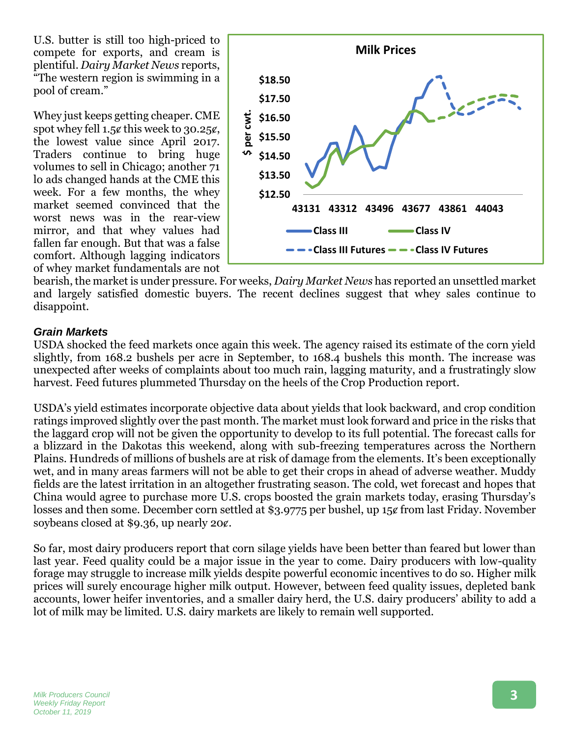U.S. butter is still too high-priced to compete for exports, and cream is plentiful. *Dairy Market News* reports, "The western region is swimming in a pool of cream."

Whey just keeps getting cheaper. CME spot whey fell  $1.5¢$  this week to 30.25 $¢$ , the lowest value since April 2017. Traders continue to bring huge volumes to sell in Chicago; another 71 lo ads changed hands at the CME this week. For a few months, the whey market seemed convinced that the worst news was in the rear-view mirror, and that whey values had fallen far enough. But that was a false comfort. Although lagging indicators of whey market fundamentals are not



bearish, the market is under pressure. For weeks, *Dairy Market News* has reported an unsettled market and largely satisfied domestic buyers. The recent declines suggest that whey sales continue to disappoint.

#### *Grain Markets*

USDA shocked the feed markets once again this week. The agency raised its estimate of the corn yield slightly, from 168.2 bushels per acre in September, to 168.4 bushels this month. The increase was unexpected after weeks of complaints about too much rain, lagging maturity, and a frustratingly slow harvest. Feed futures plummeted Thursday on the heels of the Crop Production report.

USDA's yield estimates incorporate objective data about yields that look backward, and crop condition ratings improved slightly over the past month. The market must look forward and price in the risks that the laggard crop will not be given the opportunity to develop to its full potential. The forecast calls for a blizzard in the Dakotas this weekend, along with sub-freezing temperatures across the Northern Plains. Hundreds of millions of bushels are at risk of damage from the elements. It's been exceptionally wet, and in many areas farmers will not be able to get their crops in ahead of adverse weather. Muddy fields are the latest irritation in an altogether frustrating season. The cold, wet forecast and hopes that China would agree to purchase more U.S. crops boosted the grain markets today, erasing Thursday's losses and then some. December corn settled at \$3.9775 per bushel, up 15¢ from last Friday. November soybeans closed at \$9.36, up nearly  $20¢$ .

So far, most dairy producers report that corn silage yields have been better than feared but lower than last year. Feed quality could be a major issue in the year to come. Dairy producers with low-quality forage may struggle to increase milk yields despite powerful economic incentives to do so. Higher milk prices will surely encourage higher milk output. However, between feed quality issues, depleted bank accounts, lower heifer inventories, and a smaller dairy herd, the U.S. dairy producers' ability to add a lot of milk may be limited. U.S. dairy markets are likely to remain well supported.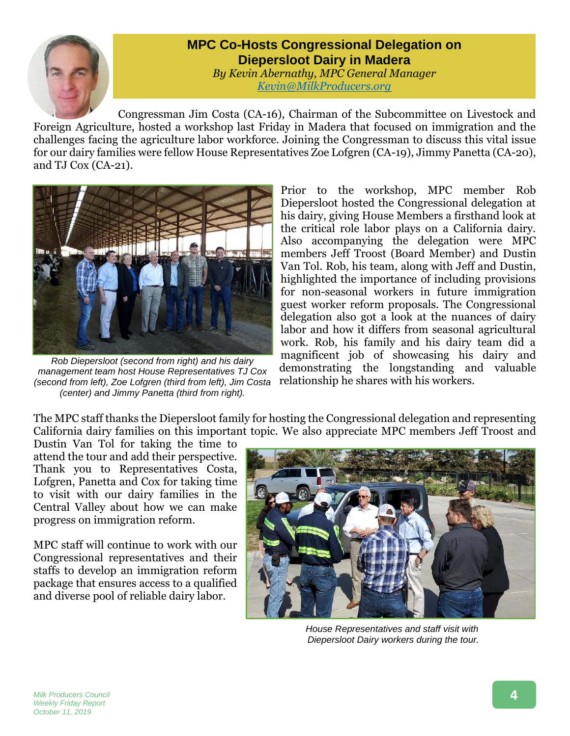

## **MPC Co-Hosts Congressional Delegation on Diepersloot Dairy in Madera**

*By Kevin Abernathy, MPC General Manager [Kevin@MilkProducers.org](mailto:Kevin@MilkProducers.org)*

Congressman Jim Costa (CA-16), Chairman of the Subcommittee on Livestock and Foreign Agriculture, hosted a workshop last Friday in Madera that focused on immigration and the challenges facing the agriculture labor workforce. Joining the Congressman to discuss this vital issue for our dairy families were fellow House Representatives Zoe Lofgren (CA-19), Jimmy Panetta (CA-20), and TJ Cox (CA-21).



*Rob Diepersloot (second from right) and his dairy management team host House Representatives TJ Cox (second from left), Zoe Lofgren (third from left), Jim Costa (center) and Jimmy Panetta (third from right).*

Prior to the workshop, MPC member Rob Diepersloot hosted the Congressional delegation at his dairy, giving House Members a firsthand look at the critical role labor plays on a California dairy. Also accompanying the delegation were MPC members Jeff Troost (Board Member) and Dustin Van Tol. Rob, his team, along with Jeff and Dustin, highlighted the importance of including provisions for non-seasonal workers in future immigration guest worker reform proposals. The Congressional delegation also got a look at the nuances of dairy labor and how it differs from seasonal agricultural work. Rob, his family and his dairy team did a magnificent job of showcasing his dairy and demonstrating the longstanding and valuable relationship he shares with his workers.

The MPC staff thanks the Diepersloot family for hosting the Congressional delegation and representing California dairy families on this important topic. We also appreciate MPC members Jeff Troost and

Dustin Van Tol for taking the time to attend the tour and add their perspective. Thank you to Representatives Costa, Lofgren, Panetta and Cox for taking time to visit with our dairy families in the Central Valley about how we can make progress on immigration reform.

MPC staff will continue to work with our Congressional representatives and their staffs to develop an immigration reform package that ensures access to a qualified and diverse pool of reliable dairy labor.



*House Representatives and staff visit with Diepersloot Dairy workers during the tour.*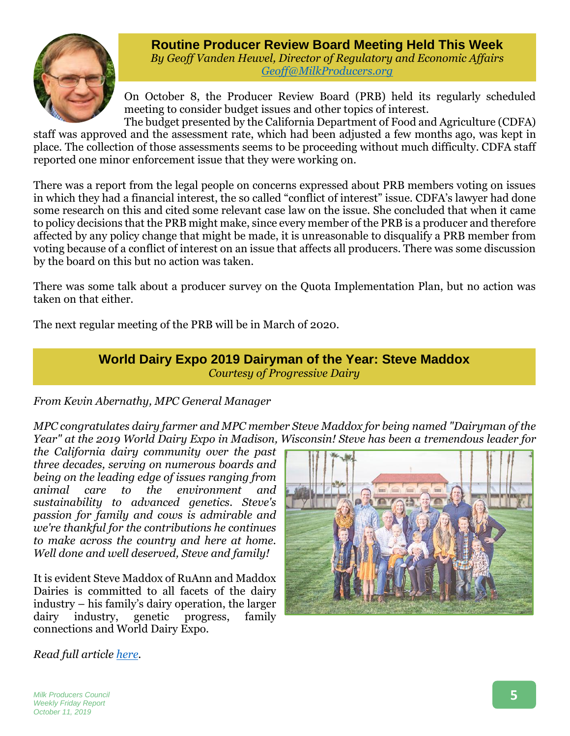

**Routine Producer Review Board Meeting Held This Week** *By Geoff Vanden Heuvel, Director of Regulatory and Economic Affairs [Geoff@MilkProducers.org](mailto:Geoff@MilkProducers.org)*

On October 8, the Producer Review Board (PRB) held its regularly scheduled meeting to consider budget issues and other topics of interest.

The budget presented by the California Department of Food and Agriculture (CDFA) staff was approved and the assessment rate, which had been adjusted a few months ago, was kept in place. The collection of those assessments seems to be proceeding without much difficulty. CDFA staff reported one minor enforcement issue that they were working on.

There was a report from the legal people on concerns expressed about PRB members voting on issues in which they had a financial interest, the so called "conflict of interest" issue. CDFA's lawyer had done some research on this and cited some relevant case law on the issue. She concluded that when it came to policy decisions that the PRB might make, since every member of the PRB is a producer and therefore affected by any policy change that might be made, it is unreasonable to disqualify a PRB member from voting because of a conflict of interest on an issue that affects all producers. There was some discussion by the board on this but no action was taken.

There was some talk about a producer survey on the Quota Implementation Plan, but no action was taken on that either.

The next regular meeting of the PRB will be in March of 2020.

### **World Dairy Expo 2019 Dairyman of the Year: Steve Maddox** *Courtesy of Progressive Dairy*

*From Kevin Abernathy, MPC General Manager*

*MPC congratulates dairy farmer and MPC member Steve Maddox for being named "Dairyman of the Year" at the 2019 World Dairy Expo in Madison, Wisconsin! Steve has been a tremendous leader for* 

*the California dairy community over the past three decades, serving on numerous boards and being on the leading edge of issues ranging from animal care to the environment and sustainability to advanced genetics. Steve's passion for family and cows is admirable and we're thankful for the contributions he continues to make across the country and here at home. Well done and well deserved, Steve and family!*

It is evident Steve Maddox of RuAnn and Maddox Dairies is committed to all facets of the dairy industry – his family's dairy operation, the larger dairy industry, genetic progress, family connections and World Dairy Expo.



*Read full article [here.](https://www.progressivedairy.com/news/event-coverage/world-dairy-expo-2019-committed-dairyman-steve-maddox)*